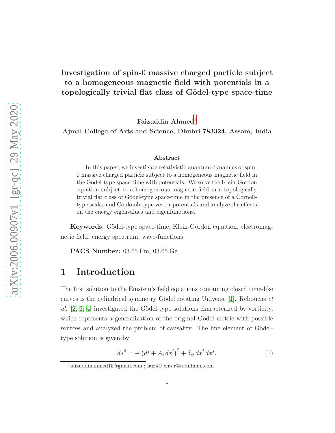### Investigation of spin-0 massive charged particle subject to a homogeneous magnetic field with potentials in a topologically trivial flat class of Gödel-type space-time

Faizuddin Ahmed<sup>[1](#page-0-0)</sup>

Ajmal College of Arts and Science, Dhubri-783324, Assam, India

#### Abstract

In this paper, we investigate relativistic quantum dynamics of spin-0 massive charged particle subject to a homogeneous magnetic field in the Gödel-type space-time with potentials. We solve the Klein-Gordon equation subject to a homogeneous magnetic field in a topologically trivial flat class of Gödel-type space-time in the presence of a Cornelltype scalar and Coulomb-type vector potentials and analyze the effects on the energy eigenvalues and eigenfunctions.

Keywords: Gödel-type space-time, Klein-Gordon equation, electromagnetic field, energy spectrum, wave-functions

PACS Number: 03.65.Pm, 03.65.Ge

#### 1 Introduction

The first solution to the Einstein's field equations containing closed time-like curves is the cylindrical symmetry Gödel rotating Universe  $[1]$ . Reboucas *et* al.  $[2, 3, 4]$  $[2, 3, 4]$  $[2, 3, 4]$  investigated the Gödel-type solutions characterized by vorticity, which represents a generalization of the original Gödel metric with possible sources and analyzed the problem of causality. The line element of Gödeltype solution is given by

$$
ds^{2} = -\left(dt + A_{i} dx^{i}\right)^{2} + \delta_{ij} dx^{i} dx^{j}, \qquad (1)
$$

<span id="page-0-0"></span><sup>1</sup> faizuddinahmed15@gmail.com ; faiz4U.enter@rediffmail.com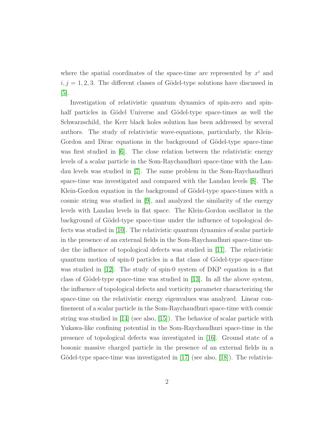where the spatial coordinates of the space-time are represented by  $x^i$  and  $i, j = 1, 2, 3$ . The different classes of Gödel-type solutions have discussed in [\[5\]](#page-17-4).

Investigation of relativistic quantum dynamics of spin-zero and spinhalf particles in Gödel Universe and Gödel-type space-times as well the Schwarzschild, the Kerr black holes solution has been addressed by several authors. The study of relativistic wave-equations, particularly, the Klein-Gordon and Dirac equations in the background of Gödel-type space-time was first studied in [\[6\]](#page-17-5). The close relation between the relativistic energy levels of a scalar particle in the Som-Raychaudhuri space-time with the Landau levels was studied in [\[7\]](#page-17-6). The same problem in the Som-Raychaudhuri space-time was investigated and compared with the Landau levels [\[8\]](#page-17-7). The Klein-Gordon equation in the background of Gödel-type space-times with a cosmic string was studied in [\[9\]](#page-17-8), and analyzed the similarity of the energy levels with Landau levels in flat space. The Klein-Gordon oscillator in the background of Gödel-type space-time under the influence of topological defects was studied in [\[10\]](#page-17-9). The relativistic quantum dynamics of scalar particle in the presence of an external fields in the Som-Raychaudhuri space-time under the influence of topological defects was studied in [\[11\]](#page-18-0). The relativistic quantum motion of spin-0 particles in a flat class of Gödel-type space-time was studied in [\[12\]](#page-18-1). The study of spin-0 system of DKP equation in a flat class of Gödel-type space-time was studied in [\[13\]](#page-18-2). In all the above system, the influence of topological defects and vorticity parameter characterizing the space-time on the relativistic energy eigenvalues was analyzed. Linear confinement of a scalar particle in the Som-Raychaudhuri space-time with cosmic string was studied in [\[14\]](#page-18-3) (see also, [\[15\]](#page-18-4)). The behavior of scalar particle with Yukawa-like confining potential in the Som-Raychaudhuri space-time in the presence of topological defects was investigated in [\[16\]](#page-18-5). Ground state of a bosonic massive charged particle in the presence of an external fields in a Gödel-type space-time was investigated in  $[17]$  (see also,  $[18]$ ). The relativis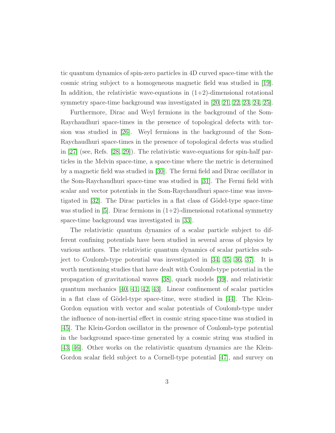tic quantum dynamics of spin-zero particles in 4D curved space-time with the cosmic string subject to a homogeneous magnetic field was studied in [\[19\]](#page-18-8). In addition, the relativistic wave-equations in  $(1+2)$ -dimensional rotational symmetry space-time background was investigated in [\[20,](#page-18-9) [21,](#page-18-10) [22,](#page-18-11) [23,](#page-18-12) [24,](#page-18-13) [25\]](#page-18-14).

Furthermore, Dirac and Weyl fermions in the background of the Som-Raychaudhuri space-times in the presence of topological defects with torsion was studied in [\[26\]](#page-18-15). Weyl fermions in the background of the Som-Raychaudhuri space-times in the presence of topological defects was studied in [\[27\]](#page-18-16) (see, Refs. [\[28,](#page-19-0) [29\]](#page-19-1)). The relativistic wave-equations for spin-half particles in the Melvin space-time, a space-time where the metric is determined by a magnetic field was studied in [\[30\]](#page-19-2). The fermi field and Dirac oscillator in the Som-Raychaudhuri space-time was studied in [\[31\]](#page-19-3). The Fermi field with scalar and vector potentials in the Som-Raychaudhuri space-time was investigated in  $[32]$ . The Dirac particles in a flat class of Gödel-type space-time was studied in [\[5\]](#page-17-4). Dirac fermions in  $(1+2)$ -dimensional rotational symmetry space-time background was investigated in [\[33\]](#page-19-5).

The relativistic quantum dynamics of a scalar particle subject to different confining potentials have been studied in several areas of physics by various authors. The relativistic quantum dynamics of scalar particles subject to Coulomb-type potential was investigated in [\[34,](#page-19-6) [35,](#page-19-7) [36,](#page-19-8) [37\]](#page-19-9). It is worth mentioning studies that have dealt with Coulomb-type potential in the propagation of gravitational waves [\[38\]](#page-19-10), quark models [\[39\]](#page-19-11), and relativistic quantum mechanics [\[40,](#page-19-12) [41,](#page-19-13) [42,](#page-19-14) [43\]](#page-19-15). Linear confinement of scalar particles in a flat class of Gödel-type space-time, were studied in  $[44]$ . The Klein-Gordon equation with vector and scalar potentials of Coulomb-type under the influence of non-inertial effect in cosmic string space-time was studied in [\[45\]](#page-20-1). The Klein-Gordon oscillator in the presence of Coulomb-type potential in the background space-time generated by a cosmic string was studied in [\[43,](#page-19-15) [46\]](#page-20-2). Other works on the relativistic quantum dynamics are the Klein-Gordon scalar field subject to a Cornell-type potential [\[47\]](#page-20-3), and survey on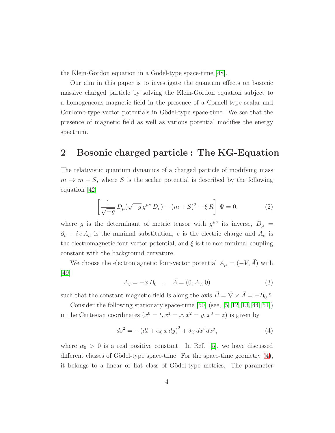the Klein-Gordon equation in a Gödel-type space-time [\[48\]](#page-20-4).

Our aim in this paper is to investigate the quantum effects on bosonic massive charged particle by solving the Klein-Gordon equation subject to a homogeneous magnetic field in the presence of a Cornell-type scalar and Coulomb-type vector potentials in Gödel-type space-time. We see that the presence of magnetic field as well as various potential modifies the energy spectrum.

#### 2 Bosonic charged particle : The KG-Equation

The relativistic quantum dynamics of a charged particle of modifying mass  $m \to m + S$ , where S is the scalar potential is described by the following equation [\[42\]](#page-19-14)

<span id="page-3-1"></span>
$$
\left[\frac{1}{\sqrt{-g}} D_{\mu}(\sqrt{-g} g^{\mu\nu} D_{\nu}) - (m+S)^2 - \xi R\right] \Psi = 0, \qquad (2)
$$

where g is the determinant of metric tensor with  $g^{\mu\nu}$  its inverse,  $D_{\mu}$  =  $\partial_{\mu} - i e A_{\mu}$  is the minimal substitution, e is the electric charge and  $A_{\mu}$  is the electromagnetic four-vector potential, and  $\xi$  is the non-minimal coupling constant with the background curvature.

We choose the electromagnetic four-vector potential  $A_{\mu} = (-V, \vec{A})$  with [\[49\]](#page-20-5)

<span id="page-3-2"></span>
$$
A_y = -x B_0 , \quad \vec{A} = (0, A_y, 0)
$$
 (3)

such that the constant magnetic field is along the axis  $\vec{B} = \vec{\nabla} \times \vec{A} = -B_0 \hat{z}$ .

Consider the following stationary space-time [\[50\]](#page-20-6) (see, [\[5,](#page-17-4) [12,](#page-18-1) [13,](#page-18-2) [44,](#page-20-0) [51\]](#page-20-7)) in the Cartesian coordinates  $(x^0 = t, x^1 = x, x^2 = y, x^3 = z)$  is given by

<span id="page-3-0"></span>
$$
ds^{2} = -(dt + \alpha_{0} x dy)^{2} + \delta_{ij} dx^{i} dx^{j}, \qquad (4)
$$

where  $\alpha_0 > 0$  is a real positive constant. In Ref. [\[5\]](#page-17-4), we have discussed different classes of Gödel-type space-time. For the space-time geometry  $(4)$ , it belongs to a linear or flat class of Gödel-type metrics. The parameter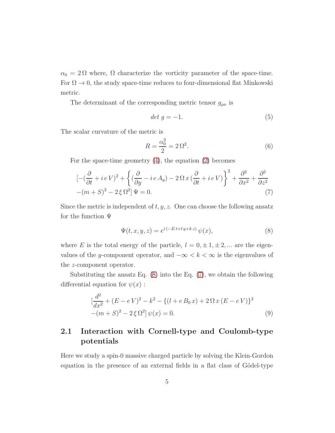$\alpha_0 = 2\Omega$  where,  $\Omega$  characterize the vorticity parameter of the space-time. For  $\Omega \to 0$ , the study space-time reduces to four-dimensional flat Minkowski metric.

The determinant of the corresponding metric tensor  $g_{\mu\nu}$  is

$$
det\ g = -1.\tag{5}
$$

The scalar curvature of the metric is

$$
R = \frac{\alpha_0^2}{2} = 2\,\Omega^2.\tag{6}
$$

For the space-time geometry [\(4\)](#page-3-0), the equation [\(2\)](#page-3-1) becomes

<span id="page-4-1"></span>
$$
\left[ -(\frac{\partial}{\partial t} + i eV)^2 + \left\{ (\frac{\partial}{\partial y} - i eA_y) - 2\Omega x (\frac{\partial}{\partial t} + i eV) \right\}^2 + \frac{\partial^2}{\partial x^2} + \frac{\partial^2}{\partial z^2} - (m+S)^2 - 2\xi \Omega^2 \right] \Psi = 0.
$$
\n(7)

Since the metric is independent of  $t, y, z$ . One can choose the following ansatz for the function Ψ

<span id="page-4-0"></span>
$$
\Psi(t, x, y, z) = e^{i(-Et + ly + kz)} \psi(x),\tag{8}
$$

where E is the total energy of the particle,  $l = 0, \pm 1, \pm 2, ...$  are the eigenvalues of the y-component operator, and  $-\infty < k < \infty$  is the eigenvalues of the z-component operator.

Substituting the ansatz Eq.  $(8)$  into the Eq.  $(7)$ , we obtain the following differential equation for  $\psi(x)$ :

<span id="page-4-2"></span>
$$
\left[\frac{d^2}{dx^2} + (E - eV)^2 - k^2 - \{(l + eB_0x) + 2\Omega x (E - eV)\}^2 - (m + S)^2 - 2\xi \Omega^2\right] \psi(x) = 0.
$$
\n(9)

#### 2.1 Interaction with Cornell-type and Coulomb-type potentials

Here we study a spin-0 massive charged particle by solving the Klein-Gordon equation in the presence of an external fields in a flat class of Gödel-type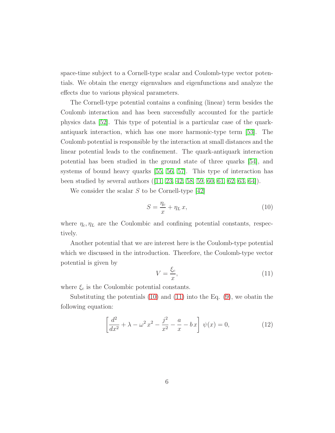space-time subject to a Cornell-type scalar and Coulomb-type vector potentials. We obtain the energy eigenvalues and eigenfunctions and analyze the effects due to various physical parameters.

The Cornell-type potential contains a confining (linear) term besides the Coulomb interaction and has been successfully accounted for the particle physics data [\[52\]](#page-20-8). This type of potential is a particular case of the quarkantiquark interaction, which has one more harmonic-type term [\[53\]](#page-20-9). The Coulomb potential is responsible by the interaction at small distances and the linear potential leads to the confinement. The quark-antiquark interaction potential has been studied in the ground state of three quarks [\[54\]](#page-20-10), and systems of bound heavy quarks [\[55,](#page-20-11) [56,](#page-20-12) [57\]](#page-20-13). This type of interaction has been studied by several authors ([\[11,](#page-18-0) [23,](#page-18-12) [42,](#page-19-14) [58,](#page-20-14) [59,](#page-21-0) [60,](#page-21-1) [61,](#page-21-2) [62,](#page-21-3) [63,](#page-21-4) [64\]](#page-21-5)).

We consider the scalar  $S$  to be Cornell-type [\[42\]](#page-19-14)

<span id="page-5-0"></span>
$$
S = \frac{\eta_c}{x} + \eta_L x,\tag{10}
$$

where  $\eta_c, \eta_L$  are the Coulombic and confining potential constants, respectively.

Another potential that we are interest here is the Coulomb-type potential which we discussed in the introduction. Therefore, the Coulomb-type vector potential is given by

<span id="page-5-1"></span>
$$
V = \frac{\xi_c}{x},\tag{11}
$$

where  $\xi_c$  is the Coulombic potential constants.

Substituting the potentials [\(10\)](#page-5-0) and [\(11\)](#page-5-1) into the Eq. [\(9\)](#page-4-2), we obatin the following equation:

<span id="page-5-2"></span>
$$
\left[\frac{d^2}{dx^2} + \lambda - \omega^2 x^2 - \frac{j^2}{x^2} - \frac{a}{x} - bx\right] \psi(x) = 0,
$$
\n(12)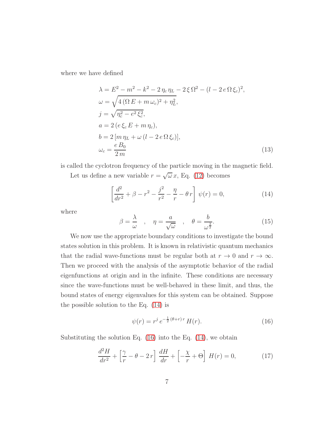where we have defined

$$
\lambda = E^2 - m^2 - k^2 - 2 \eta_c \eta_L - 2 \xi \Omega^2 - (l - 2 e \Omega \xi_c)^2, \n\omega = \sqrt{4 (\Omega E + m \omega_c)^2 + \eta_L^2}, \nj = \sqrt{\eta_c^2 - e^2 \xi_c^2}, \na = 2 (e \xi_c E + m \eta_c), \nb = 2 [m \eta_L + \omega (l - 2 e \Omega \xi_c)], \n\omega_c = \frac{e B_0}{2 m}
$$
\n(13)

is called the cyclotron frequency of the particle moving in the magnetic field. Let us define a new variable  $r = \sqrt{\omega} x$ , Eq. [\(12\)](#page-5-2) becomes

<span id="page-6-0"></span>
$$
\left[\frac{d^2}{dr^2} + \beta - r^2 - \frac{j^2}{r^2} - \frac{\eta}{r} - \theta r\right] \psi(r) = 0,
$$
\n(14)

where

$$
\beta = \frac{\lambda}{\omega} \quad , \quad \eta = \frac{a}{\sqrt{\omega}} \quad , \quad \theta = \frac{b}{\omega^{\frac{3}{2}}}.
$$
 (15)

We now use the appropriate boundary conditions to investigate the bound states solution in this problem. It is known in relativistic quantum mechanics that the radial wave-functions must be regular both at  $r \to 0$  and  $r \to \infty$ . Then we proceed with the analysis of the asymptotic behavior of the radial eigenfunctions at origin and in the infinite. These conditions are necessary since the wave-functions must be well-behaved in these limit, and thus, the bound states of energy eigenvalues for this system can be obtained. Suppose the possible solution to the Eq. [\(14\)](#page-6-0) is

<span id="page-6-1"></span>
$$
\psi(r) = r^j \, e^{-\frac{1}{2} (\theta + r) \, r} \, H(r). \tag{16}
$$

Substituting the solution Eq.  $(16)$  into the Eq.  $(14)$ , we obtain

<span id="page-6-2"></span>
$$
\frac{d^2H}{dr^2} + \left[\frac{\gamma}{r} - \theta - 2r\right]\frac{dH}{dr} + \left[-\frac{\chi}{r} + \Theta\right]H(r) = 0,\tag{17}
$$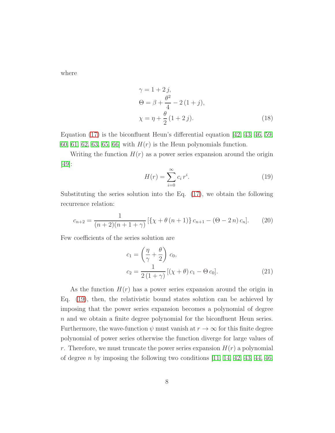where

$$
\gamma = 1 + 2 j,\n\Theta = \beta + \frac{\theta^2}{4} - 2 (1 + j),\n\chi = \eta + \frac{\theta}{2} (1 + 2 j).
$$
\n(18)

Equation [\(17\)](#page-6-2) is the biconfluent Heun's differential equation [\[42,](#page-19-14) [43,](#page-19-15) [46,](#page-20-2) [59,](#page-21-0) [60,](#page-21-1) [61,](#page-21-2) [62,](#page-21-3) [63,](#page-21-4) [65,](#page-21-6) 66 with  $H(r)$  is the Heun polynomials function.

Writing the function  $H(r)$  as a power series expansion around the origin [\[49\]](#page-20-5):

<span id="page-7-0"></span>
$$
H(r) = \sum_{i=0}^{\infty} c_i r^i.
$$
\n(19)

Substituting the series solution into the Eq. [\(17\)](#page-6-2), we obtain the following recurrence relation:

$$
c_{n+2} = \frac{1}{(n+2)(n+1+\gamma)} \left[ \{ \chi + \theta (n+1) \} c_{n+1} - (\Theta - 2n) c_n \right]. \tag{20}
$$

Few coefficients of the series solution are

<span id="page-7-1"></span>
$$
c_1 = \left(\frac{\eta}{\gamma} + \frac{\theta}{2}\right) c_0,
$$
  
\n
$$
c_2 = \frac{1}{2(1+\gamma)} \left[ (\chi + \theta) c_1 - \Theta c_0 \right].
$$
\n(21)

As the function  $H(r)$  has a power series expansion around the origin in Eq. [\(19\)](#page-7-0), then, the relativistic bound states solution can be achieved by imposing that the power series expansion becomes a polynomial of degree  $n$  and we obtain a finite degree polynomial for the biconfluent Heun series. Furthermore, the wave-function  $\psi$  must vanish at  $r \to \infty$  for this finite degree polynomial of power series otherwise the function diverge for large values of r. Therefore, we must truncate the power series expansion  $H(r)$  a polynomial of degree n by imposing the following two conditions  $[11, 14, 42, 43, 44, 46,$  $[11, 14, 42, 43, 44, 46,$  $[11, 14, 42, 43, 44, 46,$  $[11, 14, 42, 43, 44, 46,$  $[11, 14, 42, 43, 44, 46,$  $[11, 14, 42, 43, 44, 46,$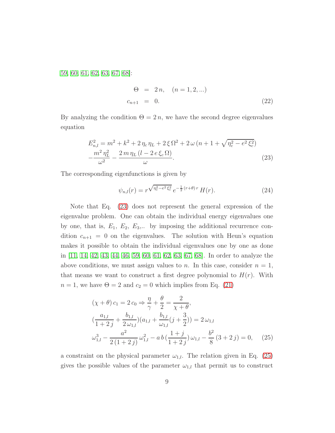[59,](#page-21-0) [60,](#page-21-1) [61,](#page-21-2) [62,](#page-21-3) [63,](#page-21-4) [67,](#page-21-8) [68\]](#page-21-9):

$$
\Theta = 2 n, \quad (n = 1, 2, ...)
$$
  

$$
c_{n+1} = 0.
$$
 (22)

By analyzing the condition  $\Theta = 2n$ , we have the second degree eigenvalues equation

<span id="page-8-0"></span>
$$
E_{n,l}^{2} = m^{2} + k^{2} + 2 \eta_{c} \eta_{L} + 2 \xi \Omega^{2} + 2 \omega (n + 1 + \sqrt{\eta_{c}^{2} - e^{2} \xi_{c}^{2}})
$$

$$
-\frac{m^{2} \eta_{L}^{2}}{\omega^{2}} - \frac{2 m \eta_{L} (l - 2 e \xi_{c} \Omega)}{\omega}.
$$
(23)

The corresponding eigenfunctions is given by

<span id="page-8-2"></span>
$$
\psi_{n,l}(r) = r^{\sqrt{\eta_c^2 - e^2 \xi_c^2}} e^{-\frac{1}{2}(r+\theta)r} H(r). \tag{24}
$$

Note that Eq. [\(23\)](#page-8-0) does not represent the general expression of the eigenvalue problem. One can obtain the individual energy eigenvalues one by one, that is,  $E_1, E_2, E_3,$ ... by imposing the additional recurrence condition  $c_{n+1} = 0$  on the eigenvalues. The solution with Heun's equation makes it possible to obtain the individual eigenvalues one by one as done in [\[11,](#page-18-0) [14,](#page-18-3) [42,](#page-19-14) [43,](#page-19-15) [44,](#page-20-0) [46,](#page-20-2) [59,](#page-21-0) [60,](#page-21-1) [61,](#page-21-2) [62,](#page-21-3) [63,](#page-21-4) [67,](#page-21-8) [68\]](#page-21-9). In order to analyze the above conditions, we must assign values to n. In this case, consider  $n = 1$ , that means we want to construct a first degree polynomial to  $H(r)$ . With  $n = 1$ , we have  $\Theta = 2$  and  $c_2 = 0$  which implies from Eq. [\(21\)](#page-7-1)

<span id="page-8-1"></span>
$$
(\chi + \theta) c_1 = 2 c_0 \Rightarrow \frac{\eta}{\gamma} + \frac{\theta}{2} = \frac{2}{\chi + \theta},
$$
  

$$
(\frac{a_{1,l}}{1+2j} + \frac{b_{1,l}}{2 \omega_{1,l}}) (a_{1,l} + \frac{b_{1,l}}{\omega_{1,l}} (j + \frac{3}{2})) = 2 \omega_{1,l}
$$
  

$$
\omega_{1,l}^3 - \frac{a^2}{2(1+2j)} \omega_{1,l}^2 - a b (\frac{1+j}{1+2j}) \omega_{1,l} - \frac{b^2}{8} (3+2j) = 0, \quad (25)
$$

a constraint on the physical parameter  $\omega_{1,l}$ . The relation given in Eq. [\(25\)](#page-8-1) gives the possible values of the parameter  $\omega_{1,l}$  that permit us to construct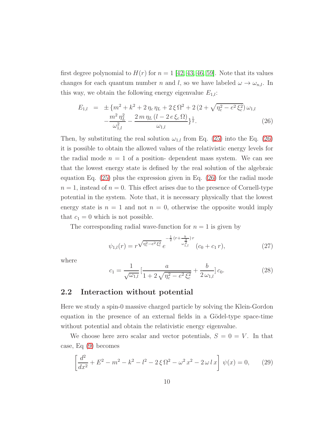first degree polynomial to  $H(r)$  for  $n = 1$  [\[42,](#page-19-14) [43,](#page-19-15) [46,](#page-20-2) [59\]](#page-21-0). Note that its values changes for each quantum number n and l, so we have labeled  $\omega \to \omega_{n,l}$ . In this way, we obtain the following energy eigenvalue  $E_{1,l}$ :

<span id="page-9-0"></span>
$$
E_{1,l} = \pm \{m^2 + k^2 + 2\eta_c \eta_L + 2\xi \Omega^2 + 2(2 + \sqrt{\eta_c^2 - e^2 \xi_c^2}) \omega_{1,l} - \frac{m^2 \eta_L^2}{\omega_{1,l}^2} - \frac{2m \eta_L (l - 2e \xi_c \Omega)}{\omega_{1,l}} \}^{\frac{1}{2}}.
$$
 (26)

Then, by substituting the real solution  $\omega_{1,l}$  from Eq. [\(25\)](#page-8-1) into the Eq. [\(26\)](#page-9-0) it is possible to obtain the allowed values of the relativistic energy levels for the radial mode  $n = 1$  of a position-dependent mass system. We can see that the lowest energy state is defined by the real solution of the algebraic equation Eq. [\(25\)](#page-8-1) plus the expression given in Eq. [\(26\)](#page-9-0) for the radial mode  $n = 1$ , instead of  $n = 0$ . This effect arises due to the presence of Cornell-type potential in the system. Note that, it is necessary physically that the lowest energy state is  $n = 1$  and not  $n = 0$ , otherwise the opposite would imply that  $c_1 = 0$  which is not possible.

The corresponding radial wave-function for  $n = 1$  is given by

<span id="page-9-1"></span>
$$
\psi_{1,l}(r) = r^{\sqrt{\eta_c^2 - e^2 \xi_c^2}} e^{-\frac{1}{2}(r + \frac{b}{\omega_{1,l}^2})r} (c_0 + c_1 r), \qquad (27)
$$

where

<span id="page-9-2"></span>
$$
c_1 = \frac{1}{\sqrt{\omega_{1,l}}} \left[ \frac{a}{1 + 2\sqrt{\eta_c^2 - e^2 \xi_c^2}} + \frac{b}{2 \omega_{1,l}} \right] c_0.
$$
 (28)

#### 2.2 Interaction without potential

Here we study a spin-0 massive charged particle by solving the Klein-Gordon equation in the presence of an external fields in a Gödel-type space-time without potential and obtain the relativistic energy eigenvalue.

We choose here zero scalar and vector potentials,  $S = 0 = V$ . In that case, Eq [\(9\)](#page-4-2) becomes

$$
\left[\frac{d^2}{dx^2} + E^2 - m^2 - k^2 - l^2 - 2\xi\Omega^2 - \omega^2 x^2 - 2\omega l x\right]\psi(x) = 0,\qquad(29)
$$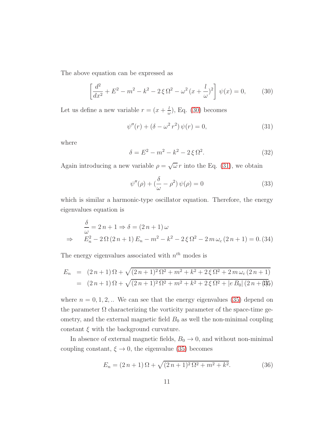The above equation can be expressed as

<span id="page-10-0"></span>
$$
\left[\frac{d^2}{dx^2} + E^2 - m^2 - k^2 - 2\xi\Omega^2 - \omega^2(x + \frac{l}{\omega})^2\right]\psi(x) = 0,
$$
 (30)

Let us define a new variable  $r = (x + \frac{l}{a})$  $\frac{l}{\omega}$ ), Eq. [\(30\)](#page-10-0) becomes

<span id="page-10-1"></span>
$$
\psi''(r) + (\delta - \omega^2 r^2) \psi(r) = 0,
$$
\n(31)

where

$$
\delta = E^2 - m^2 - k^2 - 2\xi \Omega^2.
$$
 (32)

Again introducing a new variable  $\rho = \sqrt{\omega} r$  into the Eq. [\(31\)](#page-10-1), we obtain

$$
\psi''(\rho) + \left(\frac{\delta}{\omega} - \rho^2\right)\psi(\rho) = 0\tag{33}
$$

which is similar a harmonic-type oscillator equation. Therefore, the energy eigenvalues equation is

$$
\frac{\delta}{\omega} = 2n + 1 \Rightarrow \delta = (2n + 1)\,\omega
$$
\n
$$
\Rightarrow \qquad E_n^2 - 2\,\Omega\,(2\,n + 1)\,E_n - m^2 - k^2 - 2\,\xi\,\Omega^2 - 2\,m\,\omega_c\,(2\,n + 1) = 0.\,(34)
$$

The energy eigenvalues associated with  $n^{th}$  modes is

<span id="page-10-2"></span>
$$
E_n = (2n+1)\Omega + \sqrt{(2n+1)^2 \Omega^2 + m^2 + k^2 + 2\zeta \Omega^2 + 2m\omega_c(2n+1)}
$$
  
=  $(2n+1)\Omega + \sqrt{(2n+1)^2 \Omega^2 + m^2 + k^2 + 2\zeta \Omega^2 + |e B_0| (2n+1)}$ 

where  $n = 0, 1, 2, ...$  We can see that the energy eigenvalues [\(35\)](#page-10-2) depend on the parameter  $\Omega$  characterizing the vorticity parameter of the space-time geometry, and the external magnetic field  $B_0$  as well the non-minimal coupling constant  $\xi$  with the background curvature.

In absence of external magnetic fields,  $B_0 \rightarrow 0$ , and without non-minimal coupling constant,  $\xi \rightarrow 0$ , the eigenvalue [\(35\)](#page-10-2) becomes

<span id="page-10-3"></span>
$$
E_n = (2 n + 1) \Omega + \sqrt{(2 n + 1)^2 \Omega^2 + m^2 + k^2}.
$$
 (36)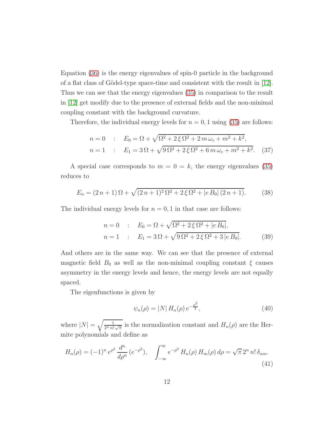Equation [\(36\)](#page-10-3) is the energy eigenvalues of spin-0 particle in the background of a flat class of Gödel-type space-time and consistent with the result in  $[12]$ . Thus we can see that the energy eigenvalues [\(35\)](#page-10-2) in comparison to the result in [\[12\]](#page-18-1) get modify due to the presence of external fields and the non-minimal coupling constant with the background curvature.

Therefore, the individual energy levels for  $n = 0, 1$  using [\(35\)](#page-10-2) are follows:

$$
n = 0 : E_0 = \Omega + \sqrt{\Omega^2 + 2\xi\Omega^2 + 2m\omega_c + m^2 + k^2},
$$
  
\n
$$
n = 1 : E_1 = 3\Omega + \sqrt{9\Omega^2 + 2\xi\Omega^2 + 6m\omega_c + m^2 + k^2}.
$$
 (37)

A special case corresponds to  $m = 0 = k$ , the energy eigenvalues [\(35\)](#page-10-2) reduces to

$$
E_n = (2n+1)\Omega + \sqrt{(2n+1)^2 \Omega^2 + 2\xi \Omega^2 + |e B_0| (2n+1)}.
$$
 (38)

The individual energy levels for  $n = 0, 1$  in that case are follows:

$$
n = 0 : E_0 = \Omega + \sqrt{\Omega^2 + 2\xi \Omega^2 + |e B_0|},
$$
  
\n
$$
n = 1 : E_1 = 3\Omega + \sqrt{9\Omega^2 + 2\xi \Omega^2 + 3|e B_0|}.
$$
 (39)

And others are in the same way. We can see that the presence of external magnetic field  $B_0$  as well as the non-minimal coupling constant  $\xi$  causes asymmetry in the energy levels and hence, the energy levels are not equally spaced.

The eigenfunctions is given by

$$
\psi_n(\rho) = |N| H_n(\rho) e^{-\frac{\rho^2}{2}}, \tag{40}
$$

where  $|N| = \sqrt{\frac{1}{2^n n! \sqrt{\pi}}}$  is the normalization constant and  $H_n(\rho)$  are the Hermite polynomials and define as

$$
H_n(\rho) = (-1)^n e^{\rho^2} \frac{d^n}{d\rho^n} (e^{-\rho^2}), \quad \int_{-\infty}^{\infty} e^{-\rho^2} H_n(\rho) H_m(\rho) d\rho = \sqrt{\pi} 2^n n! \delta_{nm}.
$$
\n(41)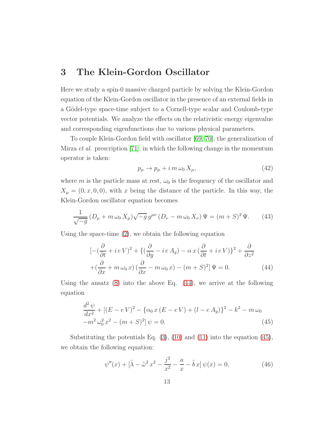#### 3 The Klein-Gordon Oscillator

Here we study a spin-0 massive charged particle by solving the Klein-Gordon equation of the Klein-Gordon oscillator in the presence of an external fields in a Gödel-type space-time subject to a Cornell-type scalar and Coulomb-type vector potentials. We analyze the effects on the relativistic energy eigenvalue and corresponding eigenfunctions due to various physical parameters.

To couple Klein-Gordon field with oscillator [\[69,](#page-21-10) [70\]](#page-21-11), the generalization of Mirza et al. prescription [\[71\]](#page-21-12), in which the following change in the momentum operator is taken:

$$
p_{\mu} \to p_{\mu} + i \, m \, \omega_0 \, X_{\mu}, \tag{42}
$$

where m is the particle mass at rest,  $\omega_0$  is the frequency of the oscillator and  $X_{\mu} = (0, x, 0, 0)$ , with x being the distance of the particle. In this way, the Klein-Gordon oscillator equation becomes

$$
\frac{1}{\sqrt{-g}} \left( D_{\mu} + m \,\omega_0 \, X_{\mu} \right) \sqrt{-g} \, g^{\mu \nu} \left( D_{\nu} - m \,\omega_0 \, X_{\nu} \right) \Psi = (m + S)^2 \, \Psi. \tag{43}
$$

Using the space-time [\(2\)](#page-3-1), we obtain the following equation

<span id="page-12-0"></span>
$$
\left[ -(\frac{\partial}{\partial t} + i eV)^2 + \{ (\frac{\partial}{\partial y} - i eA_y) - \alpha x (\frac{\partial}{\partial t} + i eV) \}^2 + \frac{\partial}{\partial z^2} + (\frac{\partial}{\partial x} + m \omega_0 x) (\frac{\partial}{\partial x} - m \omega_0 x) - (m+S)^2 \right] \Psi = 0.
$$
 (44)

Using the ansatz  $(8)$  into the above Eq.  $(44)$ , we arrive at the following equation

<span id="page-12-1"></span>
$$
\frac{d^2\psi}{dx^2} + [(E - eV)^2 - \{\alpha_0 x (E - eV) + (l - eA_y)\}^2 - k^2 - m\omega_0
$$
  

$$
-m^2\omega_0^2 x^2 - (m + S)^2]\psi = 0.
$$
\n(45)

Substituting the potentials Eq.  $(3)$ ,  $(10)$  and  $(11)$  into the equation  $(45)$ , we obtain the following equation:

<span id="page-12-2"></span>
$$
\psi''(x) + [\tilde{\lambda} - \tilde{\omega}^2 x^2 - \frac{j^2}{x^2} - \frac{a}{x} - \tilde{b}x] \psi(x) = 0,
$$
\n(46)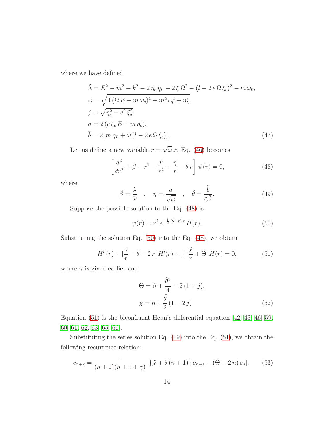where we have defined

$$
\tilde{\lambda} = E^2 - m^2 - k^2 - 2 \eta_c \eta_L - 2 \xi \Omega^2 - (l - 2 e \Omega \xi_c)^2 - m \omega_0,
$$
  
\n
$$
\tilde{\omega} = \sqrt{4 (\Omega E + m \omega_c)^2 + m^2 \omega_0^2 + \eta_L^2},
$$
  
\n
$$
j = \sqrt{\eta_c^2 - e^2 \xi_c^2},
$$
  
\n
$$
a = 2 (e \xi_c E + m \eta_c),
$$
  
\n
$$
\tilde{b} = 2 [m \eta_L + \tilde{\omega} (l - 2 e \Omega \xi_c)].
$$
\n(47)

Let us define a new variable  $r = \sqrt{\tilde{\omega}} x$ , Eq. [\(46\)](#page-12-2) becomes

<span id="page-13-0"></span>
$$
\left[\frac{d^2}{dr^2} + \tilde{\beta} - r^2 - \frac{j^2}{r^2} - \frac{\tilde{\eta}}{r} - \tilde{\theta}r\right] \psi(r) = 0,
$$
\n(48)

where

$$
\tilde{\beta} = \frac{\lambda}{\tilde{\omega}}, \quad \tilde{\eta} = \frac{a}{\sqrt{\tilde{\omega}}}, \quad \tilde{\theta} = \frac{\tilde{b}}{\tilde{\omega}^{\frac{3}{2}}}.
$$
\n(49)

Suppose the possible solution to the Eq. [\(48\)](#page-13-0) is

<span id="page-13-1"></span>
$$
\psi(r) = r^j \, e^{-\frac{1}{2}(\tilde{\theta} + r) \, r} \, H(r). \tag{50}
$$

Substituting the solution Eq.  $(50)$  into the Eq.  $(48)$ , we obtain

<span id="page-13-2"></span>
$$
H''(r) + \left[\frac{\gamma}{r} - \tilde{\theta} - 2r\right]H'(r) + \left[-\frac{\tilde{\chi}}{r} + \tilde{\Theta}\right]H(r) = 0,\tag{51}
$$

where  $\gamma$  is given earlier and

$$
\tilde{\Theta} = \tilde{\beta} + \frac{\tilde{\theta}^2}{4} - 2(1+j),
$$
  

$$
\tilde{\chi} = \tilde{\eta} + \frac{\tilde{\theta}}{2}(1+2j)
$$
 (52)

Equation [\(51\)](#page-13-2) is the biconfluent Heun's differential equation [\[42,](#page-19-14) [43,](#page-19-15) [46,](#page-20-2) [59,](#page-21-0) [60,](#page-21-1) [61,](#page-21-2) [62,](#page-21-3) [63,](#page-21-4) [65,](#page-21-6) [66\]](#page-21-7).

Substituting the series solution Eq. [\(19\)](#page-7-0) into the Eq. [\(51\)](#page-13-2), we obtain the following recurrence relation:

$$
c_{n+2} = \frac{1}{(n+2)(n+1+\gamma)} \left[ \{ \tilde{\chi} + \tilde{\theta} \left( n+1 \right) \} c_{n+1} - (\tilde{\Theta} - 2n) c_n \right]. \tag{53}
$$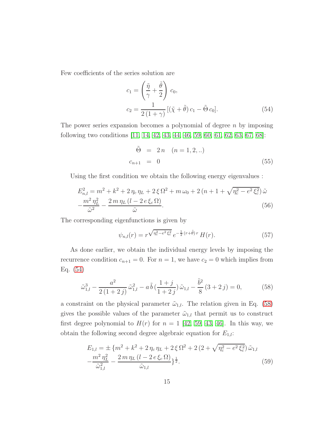Few coefficients of the series solution are

<span id="page-14-0"></span>
$$
c_1 = \left(\frac{\tilde{\eta}}{\gamma} + \frac{\tilde{\theta}}{2}\right) c_0,
$$
  
\n
$$
c_2 = \frac{1}{2(1+\gamma)} \left[ (\tilde{\chi} + \tilde{\theta}) c_1 - \tilde{\Theta} c_0 \right].
$$
\n(54)

The power series expansion becomes a polynomial of degree  $n$  by imposing following two conditions [\[11,](#page-18-0) [14,](#page-18-3) [42,](#page-19-14) [43,](#page-19-15) [44,](#page-20-0) [46,](#page-20-2) [59,](#page-21-0) [60,](#page-21-1) [61,](#page-21-2) [62,](#page-21-3) [63,](#page-21-4) [67,](#page-21-8) [68\]](#page-21-9):

$$
\tilde{\Theta} = 2n \quad (n = 1, 2, ..)
$$
  

$$
c_{n+1} = 0 \tag{55}
$$

<span id="page-14-3"></span>Using the first condition we obtain the following energy eigenvalues :

$$
E_{n,l}^{2} = m^{2} + k^{2} + 2 \eta_{c} \eta_{L} + 2 \xi \Omega^{2} + m \omega_{0} + 2 (n + 1 + \sqrt{\eta_{c}^{2} - e^{2} \xi_{c}^{2}}) \tilde{\omega} - \frac{m^{2} \eta_{L}^{2}}{\tilde{\omega}^{2}} - \frac{2 m \eta_{L} (l - 2 e \xi_{c} \Omega)}{\tilde{\omega}}.
$$
 (56)

The corresponding eigenfunctions is given by

<span id="page-14-4"></span>
$$
\psi_{n,l}(r) = r^{\sqrt{\eta_c^2 - e^2 \xi_c^2}} e^{-\frac{1}{2}(r+\tilde{\theta})r} H(r). \tag{57}
$$

As done earlier, we obtain the individual energy levels by imposing the recurrence condition  $c_{n+1} = 0$ . For  $n = 1$ , we have  $c_2 = 0$  which implies from Eq. [\(54\)](#page-14-0)

<span id="page-14-1"></span>
$$
\tilde{\omega}_{1,l}^3 - \frac{a^2}{2(1+2j)} \tilde{\omega}_{1,l}^2 - a \tilde{b} \left( \frac{1+j}{1+2j} \right) \tilde{\omega}_{1,l} - \frac{\tilde{b}^2}{8} (3+2j) = 0, \tag{58}
$$

a constraint on the physical parameter  $\tilde{\omega}_{1,l}$ . The relation given in Eq. [\(58\)](#page-14-1) gives the possible values of the parameter  $\tilde{\omega}_{1,l}$  that permit us to construct first degree polynomial to  $H(r)$  for  $n = 1$  [\[42,](#page-19-14) [59,](#page-21-0) [43,](#page-19-15) [46\]](#page-20-2). In this way, we obtain the following second degree algebraic equation for  $E_{1,l}$ :

<span id="page-14-2"></span>
$$
E_{1,l} = \pm \{m^2 + k^2 + 2\eta_c \eta_L + 2\xi \Omega^2 + 2(2 + \sqrt{\eta_c^2 - e^2 \xi_c^2}) \tilde{\omega}_{1,l} -\frac{m^2 \eta_L^2}{\tilde{\omega}_{1,l}^2} - \frac{2m \eta_L (l - 2e \xi_c \Omega)}{\tilde{\omega}_{1,l}}\}^{\frac{1}{2}}.
$$
(59)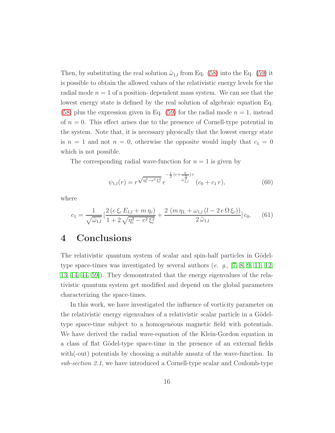Then, by substituting the real solution  $\tilde{\omega}_{1,l}$  from Eq. [\(58\)](#page-14-1) into the Eq. [\(59\)](#page-14-2) it is possible to obtain the allowed values of the relativistic energy levels for the radial mode  $n = 1$  of a position-dependent mass system. We can see that the lowest energy state is defined by the real solution of algebraic equation Eq. [\(58\)](#page-14-1) plus the expression given in Eq. [\(59\)](#page-14-2) for the radial mode  $n = 1$ , instead of  $n = 0$ . This effect arises due to the presence of Cornell-type potential in the system. Note that, it is necessary physically that the lowest energy state is  $n = 1$  and not  $n = 0$ , otherwise the opposite would imply that  $c_1 = 0$ which is not possible.

The corresponding radial wave-function for  $n = 1$  is given by

<span id="page-15-0"></span>
$$
\psi_{1,l}(r) = r^{\sqrt{\eta_c^2 - e^2 \xi_c^2}} e^{-\frac{1}{2}(r + \frac{b}{\tilde{\omega}_{1,l}^2})r} (c_0 + c_1 r), \tag{60}
$$

where

$$
c_1 = \frac{1}{\sqrt{\tilde{\omega}_{1,l}}} \left[ \frac{2 \left( e \, \xi_c \, E_{1,l} + m \, \eta_c \right)}{1 + 2 \sqrt{\eta_c^2 - e^2 \, \xi_c^2}} + \frac{2 \left( m \, \eta_L + \omega_{1,l} \left( l - 2 \, e \, \Omega \, \xi_c \right) \right)}{2 \, \tilde{\omega}_{1,l}} \right] c_0. \tag{61}
$$

#### 4 Conclusions

The relativistic quantum system of scalar and spin-half particles in Gödeltype space-times was investigated by several authors (e. g.,  $\begin{bmatrix} 7, 8, 9, 11, 12, \end{bmatrix}$  $\begin{bmatrix} 7, 8, 9, 11, 12, \end{bmatrix}$  $\begin{bmatrix} 7, 8, 9, 11, 12, \end{bmatrix}$  $\begin{bmatrix} 7, 8, 9, 11, 12, \end{bmatrix}$  $\begin{bmatrix} 7, 8, 9, 11, 12, \end{bmatrix}$  $\begin{bmatrix} 7, 8, 9, 11, 12, \end{bmatrix}$ [13,](#page-18-2) [14,](#page-18-3) [44,](#page-20-0) [59\]](#page-21-0)). They demonstrated that the energy eigenvalues of the relativistic quantum system get modified and depend on the global parameters characterizing the space-times.

In this work, we have investigated the influence of vorticity parameter on the relativistic energy eigenvalues of a relativistic scalar particle in a Gödeltype space-time subject to a homogeneous magnetic field with potentials. We have derived the radial wave-equation of the Klein-Gordon equation in a class of flat Gödel-type space-time in the presence of an external fields with(-out) potentials by choosing a suitable ansatz of the wave-function. In sub-section 2.1, we have introduced a Cornell-type scalar and Coulomb-type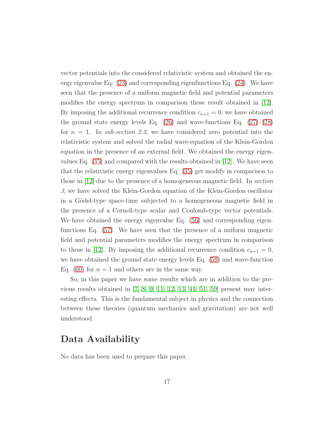vector potentials into the considered relativistic system and obtained the energy eigenvalue Eq. [\(23\)](#page-8-0) and corresponding eigenfunctions Eq. [\(24\)](#page-8-2). We have seen that the presence of a uniform magnetic field and potential parameters modifies the energy spectrum in comparison those result obtained in [\[12\]](#page-18-1). By imposing the additional recurrence condition  $c_{n+1} = 0$ , we have obtained the ground state energy levels Eq.  $(26)$  and wave-functions Eq.  $(27)$ – $(28)$ for  $n = 1$ . In sub-section 2.2, we have considered zero potential into the relativistic system and solved the radial wave-equation of the Klein-Gordon equation in the presence of an external field. We obtained the energy eigenvalues Eq. [\(35\)](#page-10-2) and compared with the results obtained in [\[12\]](#page-18-1). We have seen that the relativistic energy eigenvalues Eq. [\(35\)](#page-10-2) get modify in comparison to those in [\[12\]](#page-18-1) due to the presence of a homogeneous magnetic field. In section 3, we have solved the Klein-Gordon equation of the Klein-Gordon oscillator in a Gödel-type space-time subjected to a homogeneous magnetic field in the presence of a Cornell-type scalar and Coulomb-type vector potentials. We have obtained the energy eigenvalue Eq.  $(56)$  and corresponding eigenfunctions Eq. [\(57\)](#page-14-4). We have seen that the presence of a uniform magnetic field and potential parameters modifies the energy spectrum in comparison to those in [\[12\]](#page-18-1). By imposing the additional recurrence condition  $c_{n+1} = 0$ , we have obtained the ground state energy levels Eq. [\(59\)](#page-14-2) and wave-function Eq. [\(60\)](#page-15-0) for  $n = 1$  and others are in the same way.

So, in this paper we have some results which are in addition to the previous results obtained in  $[7, 8, 9, 11, 12, 13, 44, 51, 59]$  $[7, 8, 9, 11, 12, 13, 44, 51, 59]$  $[7, 8, 9, 11, 12, 13, 44, 51, 59]$  $[7, 8, 9, 11, 12, 13, 44, 51, 59]$  $[7, 8, 9, 11, 12, 13, 44, 51, 59]$  $[7, 8, 9, 11, 12, 13, 44, 51, 59]$  $[7, 8, 9, 11, 12, 13, 44, 51, 59]$  $[7, 8, 9, 11, 12, 13, 44, 51, 59]$  $[7, 8, 9, 11, 12, 13, 44, 51, 59]$  present may interesting effects. This is the fundamental subject in physics and the connection between these theories (quantum mechanics and gravitation) are not well understood.

#### Data Availability

No data has been used to prepare this paper.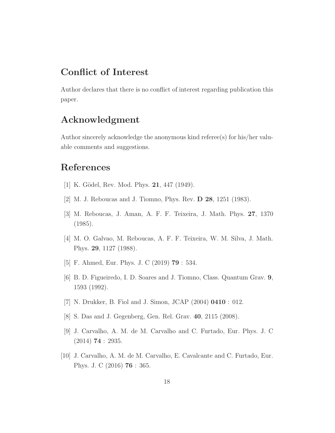## Conflict of Interest

Author declares that there is no conflict of interest regarding publication this paper.

#### Acknowledgment

Author sincerely acknowledge the anonymous kind referee(s) for his/her valuable comments and suggestions.

# <span id="page-17-0"></span>References

- <span id="page-17-1"></span>[1] K. Gödel, Rev. Mod. Phys. **21**, 447 (1949).
- <span id="page-17-2"></span>[2] M. J. Reboucas and J. Tiomno, Phys. Rev. D 28, 1251 (1983).
- <span id="page-17-3"></span>[3] M. Reboucas, J. Aman, A. F. F. Teixeira, J. Math. Phys. 27, 1370 (1985).
- <span id="page-17-4"></span>[4] M. O. Galvao, M. Reboucas, A. F. F. Teixeira, W. M. Silva, J. Math. Phys. 29, 1127 (1988).
- <span id="page-17-5"></span>[5] F. Ahmed, Eur. Phys. J. C (2019) 79 : 534.
- <span id="page-17-6"></span>[6] B. D. Figueiredo, I. D. Soares and J. Tiomno, Class. Quantum Grav. 9, 1593 (1992).
- <span id="page-17-7"></span>[7] N. Drukker, B. Fiol and J. Simon, JCAP (2004) 0410 : 012.
- <span id="page-17-8"></span>[8] S. Das and J. Gegenberg, Gen. Rel. Grav. 40, 2115 (2008).
- <span id="page-17-9"></span>[9] J. Carvalho, A. M. de M. Carvalho and C. Furtado, Eur. Phys. J. C  $(2014)$  **74** : 2935.
- [10] J. Carvalho, A. M. de M. Carvalho, E. Cavalcante and C. Furtado, Eur. Phys. J. C (2016) 76 : 365.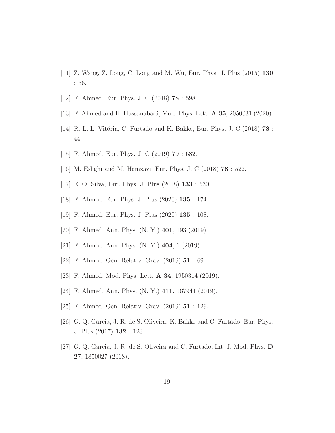- <span id="page-18-1"></span><span id="page-18-0"></span>[11] Z. Wang, Z. Long, C. Long and M. Wu, Eur. Phys. J. Plus (2015) 130 : 36.
- <span id="page-18-2"></span>[12] F. Ahmed, Eur. Phys. J. C (2018) 78 : 598.
- <span id="page-18-3"></span>[13] F. Ahmed and H. Hassanabadi, Mod. Phys. Lett. A 35, 2050031 (2020).
- <span id="page-18-4"></span>[14] R. L. L. Vitória, C. Furtado and K. Bakke, Eur. Phys. J. C  $(2018)$  78 : 44.
- <span id="page-18-5"></span>[15] F. Ahmed, Eur. Phys. J. C (2019) **79** : 682.
- <span id="page-18-6"></span>[16] M. Eshghi and M. Hamzavi, Eur. Phys. J. C (2018) 78 : 522.
- <span id="page-18-7"></span>[17] E. O. Silva, Eur. Phys. J. Plus (2018) 133 : 530.
- <span id="page-18-8"></span>[18] F. Ahmed, Eur. Phys. J. Plus (2020) 135 : 174.
- <span id="page-18-9"></span>[19] F. Ahmed, Eur. Phys. J. Plus (2020) 135 : 108.
- <span id="page-18-10"></span>[20] F. Ahmed, Ann. Phys. (N. Y.) 401, 193 (2019).
- <span id="page-18-11"></span>[21] F. Ahmed, Ann. Phys. (N. Y.) 404, 1 (2019).
- <span id="page-18-12"></span>[22] F. Ahmed, Gen. Relativ. Grav. (2019) 51 : 69.
- <span id="page-18-13"></span>[23] F. Ahmed, Mod. Phys. Lett. A 34, 1950314 (2019).
- <span id="page-18-14"></span>[24] F. Ahmed, Ann. Phys. (N. Y.) 411, 167941 (2019).
- <span id="page-18-15"></span>[25] F. Ahmed, Gen. Relativ. Grav. (2019) 51 : 129.
- <span id="page-18-16"></span>[26] G. Q. Garcia, J. R. de S. Oliveira, K. Bakke and C. Furtado, Eur. Phys. J. Plus (2017) 132 : 123.
- [27] G. Q. Garcia, J. R. de S. Oliveira and C. Furtado, Int. J. Mod. Phys. D 27, 1850027 (2018).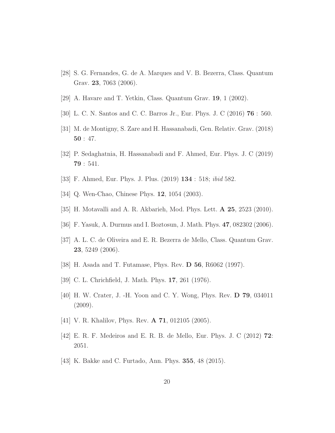- <span id="page-19-1"></span><span id="page-19-0"></span>[28] S. G. Fernandes, G. de A. Marques and V. B. Bezerra, Class. Quantum Grav. 23, 7063 (2006).
- <span id="page-19-2"></span>[29] A. Havare and T. Yetkin, Class. Quantum Grav. 19, 1 (2002).
- <span id="page-19-3"></span>[30] L. C. N. Santos and C. C. Barros Jr., Eur. Phys. J. C (2016) 76 : 560.
- <span id="page-19-4"></span>[31] M. de Montigny, S. Zare and H. Hassanabadi, Gen. Relativ. Grav. (2018) 50 : 47.
- <span id="page-19-5"></span>[32] P. Sedaghatnia, H. Hassanabadi and F. Ahmed, Eur. Phys. J. C (2019) 79 : 541.
- <span id="page-19-6"></span>[33] F. Ahmed, Eur. Phys. J. Plus. (2019) 134 : 518; ibid 582.
- <span id="page-19-7"></span>[34] Q. Wen-Chao, Chinese Phys. 12, 1054 (2003).
- <span id="page-19-8"></span>[35] H. Motavalli and A. R. Akbarieh, Mod. Phys. Lett. A 25, 2523 (2010).
- <span id="page-19-9"></span>[36] F. Yasuk, A. Durmus and I. Boztosun, J. Math. Phys. 47, 082302 (2006).
- <span id="page-19-10"></span>[37] A. L. C. de Oliveira and E. R. Bezerra de Mello, Class. Quantum Grav. 23, 5249 (2006).
- <span id="page-19-11"></span>[38] H. Asada and T. Futamase, Phys. Rev. D 56, R6062 (1997).
- <span id="page-19-12"></span>[39] C. L. Chrichfield, J. Math. Phys. **17**, 261 (1976).
- <span id="page-19-13"></span>[40] H. W. Crater, J. -H. Yoon and C. Y. Wong, Phys. Rev. D 79, 034011 (2009).
- <span id="page-19-14"></span>[41] V. R. Khalilov, Phys. Rev. **A 71**, 012105 (2005).
- <span id="page-19-15"></span>[42] E. R. F. Medeiros and E. R. B. de Mello, Eur. Phys. J. C (2012) 72: 2051.
- [43] K. Bakke and C. Furtado, Ann. Phys. 355, 48 (2015).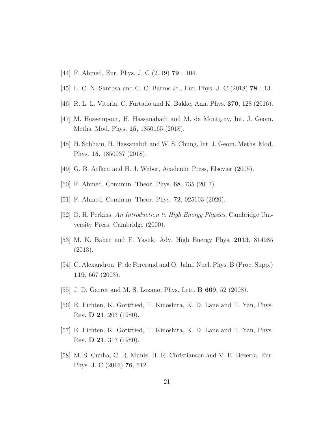- <span id="page-20-1"></span><span id="page-20-0"></span>[44] F. Ahmed, Eur. Phys. J. C (2019) 79 : 104.
- <span id="page-20-2"></span>[45] L. C. N. Santosa and C. C. Barros Jr., Eur. Phys. J. C (2018) 78 : 13.
- <span id="page-20-3"></span>[46] R. L. L. Vitoria, C. Furtado and K. Bakke, Ann. Phys. 370, 128 (2016).
- <span id="page-20-4"></span>[47] M. Hosseinpour, H. Hassanabadi and M. de Montigny, Int. J. Geom. Meths. Mod. Phys. 15, 1850165 (2018).
- <span id="page-20-5"></span>[48] H. Sobhani, H. Hassanabdi and W. S. Chung, Int. J. Geom. Meths. Mod. Phys. 15, 1850037 (2018).
- <span id="page-20-6"></span>[49] G. B. Arfken and H. J. Weber, Academic Press, Elsevier (2005).
- <span id="page-20-7"></span>[50] F. Ahmed, Commun. Theor. Phys. 68, 735 (2017).
- <span id="page-20-8"></span>[51] F. Ahmed, Commun. Theor. Phys. **72**, 025103 (2020).
- <span id="page-20-9"></span>[52] D. H. Perkins, An Introduction to High Energy Physics, Cambridge University Press, Cambridge (2000).
- <span id="page-20-10"></span>[53] M. K. Bahar and F. Yasuk, Adv. High Energy Phys. 2013, 814985 (2013).
- <span id="page-20-11"></span>[54] C. Alexandrou, P. de Forcrand and O. Jahn, Nucl. Phys. B (Proc. Supp.) 119, 667 (2003).
- <span id="page-20-12"></span>[55] J. D. Garret and M. S. Lozano, Phys. Lett. **B 669**, 52 (2008).
- <span id="page-20-13"></span>[56] E. Eichten, K. Gottfried, T. Kinoshita, K. D. Lane and T. Yan, Phys. Rev. D 21, 203 (1980).
- <span id="page-20-14"></span>[57] E. Eichten, K. Gottfried, T. Kinoshita, K. D. Lane and T. Yan, Phys. Rev. D 21, 313 (1980).
- [58] M. S. Cunha, C. R. Muniz, H. R. Christiansen and V. B. Bezerra, Eur. Phys. J. C (2016) 76, 512.